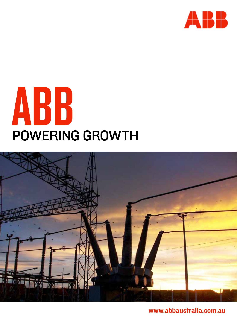





www.abbaustralia.com.au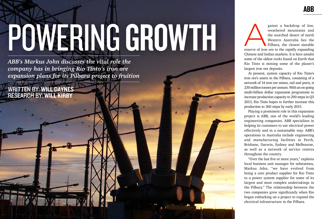## Powering growth

*ABB's Markus John discusses the vital role the company has in bringing Rio Tinto's iron ore expansion plans for its Pilbara project to fruition* ABB

gainst a backdrop of low,<br>
weathered mountains and<br>
the scorched desert of north<br>
Western Australia lies the<br>
Pilbara, the closest sizeable<br>
reserve of iron ore to the rapidly expanding weathered mountains and the scorched desert of north Western Australia lies the Pilbara, the closest sizeable

written by: Will Daynes research by: Will Kirby

Chinese and Indian markets. It is here amidst some of the oldest rocks found on Earth that Rio Tinto is mining some of the planet's largest iron ore deposits.

At present, system capacity of Rio Tinto's iron ore's assets in the Pilbara, consisting of a network of 14 iron ore mines, rail and ports, is 230 million tonnes per annum. With an on-going multi-billion dollar expansion programme to increase production capacity to 290 mtpa in Q3 2013, Rio Tinto hopes to further increase this production to 360 mtpa by early 2015. Playing a prominent role in this expansion

project is ABB, one of the world's leading engineering companies. ABB specialises in helping its customers to use electrical power effectively and in a sustainable way. ABB's operations in Australia include engineering and manufacturing facilities in Perth, Brisbane, Darwin, Sydney and Melbourne, as well as a network of service centres throughout the country.

"Over the last five or more years," explains local business unit manager for substations, Markus John, "we have evolved from being a core product supplier for Rio Tinto to a power system supplier for some of its largest and most complex undertakings in the Pilbara." The relationship between the two companies grew significantly when Rio began embarking on a project to expand the electrical infrastructure in the Pilbara.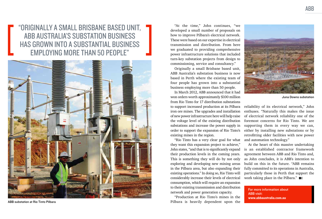"Originally a small Brisbane based unit, ABB Australia's substation business has grown into a substantial business employing more than 50 people"

"At the time," John continues, "we developed a small number of proposals on how to improve Pilbara's electrical network. These were based on our expertise in electrical transmission and distribution. From here we graduated to providing comprehensive power infrastructure solutions that included turn-key substation projects from design to commissioning, service and consultancy."

Originally a small Brisbane based unit, ABB Australia's substation business is now based in Perth where the existing team of four people has grown into a substantial business employing more than 50 people.

In March 2012, ABB announced that it had won orders worth approximately \$100 million from Rio Tinto for 17 distribution substations to support increased production at its Pilbara iron ore mines. The upgrades and installation of new power infrastructure here will help raise the voltage level of the existing distribution substations and increase the power supply in order to support the expansion of Rio Tinto's existing mines in the region.

> At the heart of this massive undertaking is an established contractor framework agreement between ABB and Rio Tinto and, as John concludes, it is ABB's intention to build on this in the future. "ABB remains fully committed to its operations in Australia, particularly those in Perth that support the work taking place in the Pilbara."  $B =$

"Rio Tinto has a very clear goal for what they want this expansion project to achieve," John states, "and that is to significantly expand their production levels in the coming years. This is something they will do by not only exploring and developing new mining areas in the Pilbara area, but also expanding their existing operations." In doing so, Rio Tinto will considerably increase their levels of electrical consumption, which will require an expansion to their existing transmission and distribution network and power generation capacity.

"Production at Rio Tinto's mines in the Pilbara is heavily dependent upon the

reliability of its electrical network," John enthuses. "Naturally this makes the issue of electrical network reliability one of the foremost concerns for Rio Tinto. We are supporting them in every way we can, either by installing new substations or by retrofitting older facilities with new power and automation technology."



Juna Downs substation



For more information about ABB visit: www.abbaustralia.com.au



ABB substation at Rio Tinto Pilbara